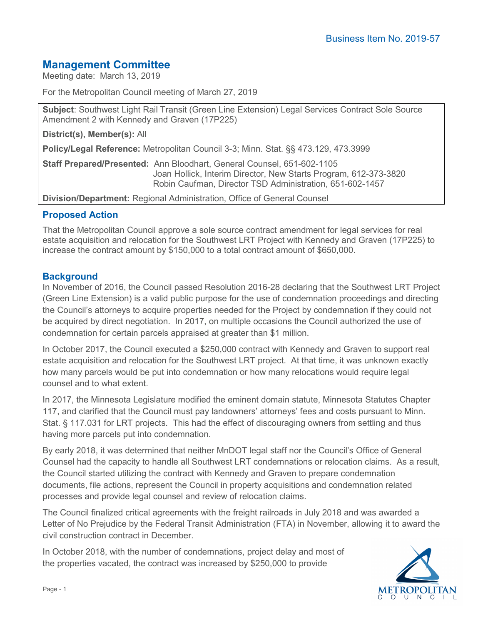# **Management Committee**

Meeting date: March 13, 2019

For the Metropolitan Council meeting of March 27, 2019

**Subject**: Southwest Light Rail Transit (Green Line Extension) Legal Services Contract Sole Source Amendment 2 with Kennedy and Graven (17P225)

**District(s), Member(s):** All

**Policy/Legal Reference:** Metropolitan Council 3-3; Minn. Stat. §§ 473.129, 473.3999

**Staff Prepared/Presented:** Ann Bloodhart, General Counsel, 651-602-1105 Joan Hollick, Interim Director, New Starts Program, 612-373-3820 Robin Caufman, Director TSD Administration, 651-602-1457

**Division/Department:** Regional Administration, Office of General Counsel

## **Proposed Action**

That the Metropolitan Council approve a sole source contract amendment for legal services for real estate acquisition and relocation for the Southwest LRT Project with Kennedy and Graven (17P225) to increase the contract amount by \$150,000 to a total contract amount of \$650,000.

## **Background**

In November of 2016, the Council passed Resolution 2016-28 declaring that the Southwest LRT Project (Green Line Extension) is a valid public purpose for the use of condemnation proceedings and directing the Council's attorneys to acquire properties needed for the Project by condemnation if they could not be acquired by direct negotiation. In 2017, on multiple occasions the Council authorized the use of condemnation for certain parcels appraised at greater than \$1 million.

In October 2017, the Council executed a \$250,000 contract with Kennedy and Graven to support real estate acquisition and relocation for the Southwest LRT project. At that time, it was unknown exactly how many parcels would be put into condemnation or how many relocations would require legal counsel and to what extent.

In 2017, the Minnesota Legislature modified the eminent domain statute, Minnesota Statutes Chapter 117, and clarified that the Council must pay landowners' attorneys' fees and costs pursuant to Minn. Stat. § 117.031 for LRT projects. This had the effect of discouraging owners from settling and thus having more parcels put into condemnation.

By early 2018, it was determined that neither MnDOT legal staff nor the Council's Office of General Counsel had the capacity to handle all Southwest LRT condemnations or relocation claims. As a result, the Council started utilizing the contract with Kennedy and Graven to prepare condemnation documents, file actions, represent the Council in property acquisitions and condemnation related processes and provide legal counsel and review of relocation claims.

The Council finalized critical agreements with the freight railroads in July 2018 and was awarded a Letter of No Prejudice by the Federal Transit Administration (FTA) in November, allowing it to award the civil construction contract in December.

In October 2018, with the number of condemnations, project delay and most of the properties vacated, the contract was increased by \$250,000 to provide